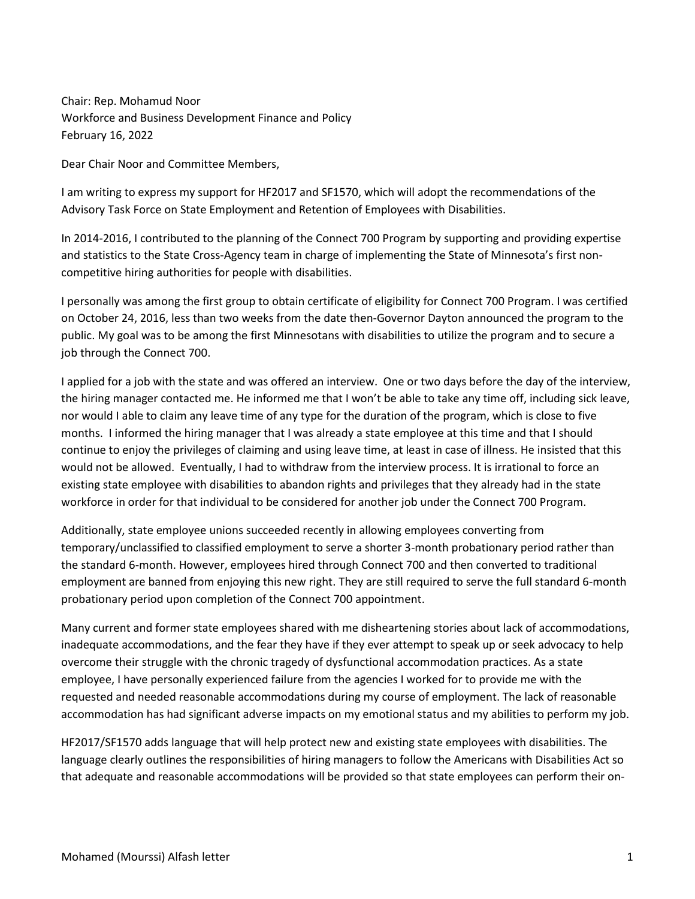Chair: Rep. Mohamud Noor Workforce and Business Development Finance and Policy February 16, 2022

Dear Chair Noor and Committee Members,

I am writing to express my support for HF2017 and SF1570, which will adopt the recommendations of the Advisory Task Force on State Employment and Retention of Employees with Disabilities.

In 2014-2016, I contributed to the planning of the Connect 700 Program by supporting and providing expertise and statistics to the State Cross-Agency team in charge of implementing the State of Minnesota's first noncompetitive hiring authorities for people with disabilities.

I personally was among the first group to obtain certificate of eligibility for Connect 700 Program. I was certified on October 24, 2016, less than two weeks from the date then-Governor Dayton announced the program to the public. My goal was to be among the first Minnesotans with disabilities to utilize the program and to secure a job through the Connect 700.

I applied for a job with the state and was offered an interview. One or two days before the day of the interview, the hiring manager contacted me. He informed me that I won't be able to take any time off, including sick leave, nor would I able to claim any leave time of any type for the duration of the program, which is close to five months. I informed the hiring manager that I was already a state employee at this time and that I should continue to enjoy the privileges of claiming and using leave time, at least in case of illness. He insisted that this would not be allowed. Eventually, I had to withdraw from the interview process. It is irrational to force an existing state employee with disabilities to abandon rights and privileges that they already had in the state workforce in order for that individual to be considered for another job under the Connect 700 Program.

Additionally, state employee unions succeeded recently in allowing employees converting from temporary/unclassified to classified employment to serve a shorter 3-month probationary period rather than the standard 6-month. However, employees hired through Connect 700 and then converted to traditional employment are banned from enjoying this new right. They are still required to serve the full standard 6-month probationary period upon completion of the Connect 700 appointment.

Many current and former state employees shared with me disheartening stories about lack of accommodations, inadequate accommodations, and the fear they have if they ever attempt to speak up or seek advocacy to help overcome their struggle with the chronic tragedy of dysfunctional accommodation practices. As a state employee, I have personally experienced failure from the agencies I worked for to provide me with the requested and needed reasonable accommodations during my course of employment. The lack of reasonable accommodation has had significant adverse impacts on my emotional status and my abilities to perform my job.

HF2017/SF1570 adds language that will help protect new and existing state employees with disabilities. The language clearly outlines the responsibilities of hiring managers to follow the Americans with Disabilities Act so that adequate and reasonable accommodations will be provided so that state employees can perform their on